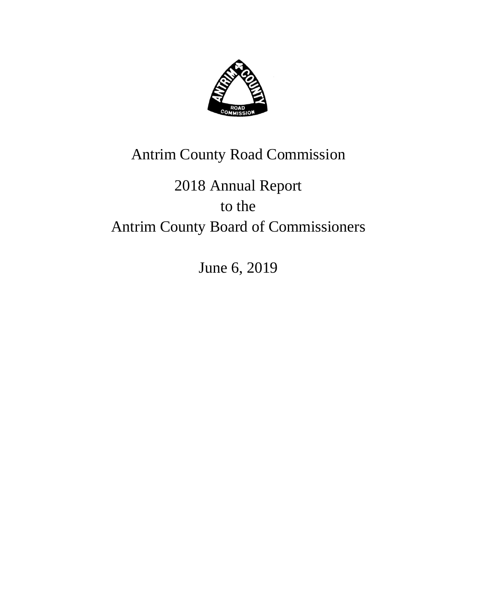

## Antrim County Road Commission

# 2018 Annual Report to the Antrim County Board of Commissioners

June 6, 2019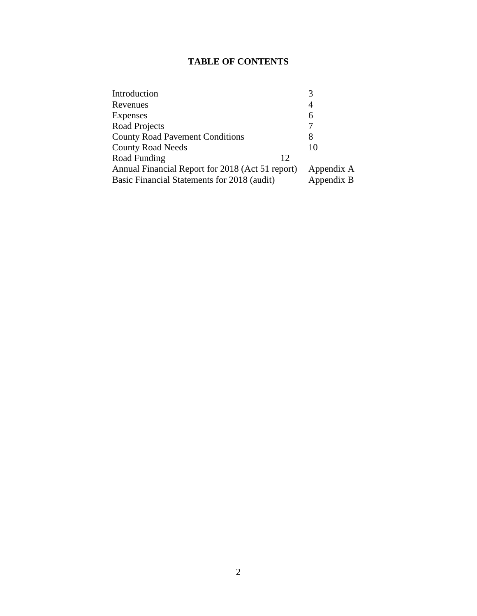#### **TABLE OF CONTENTS**

| Introduction                                     |            |
|--------------------------------------------------|------------|
| Revenues                                         | 4          |
| Expenses                                         | 6          |
| Road Projects                                    |            |
| <b>County Road Pavement Conditions</b>           | 8          |
| <b>County Road Needs</b>                         | 10         |
| Road Funding<br>12                               |            |
| Annual Financial Report for 2018 (Act 51 report) | Appendix A |
| Basic Financial Statements for 2018 (audit)      | Appendix B |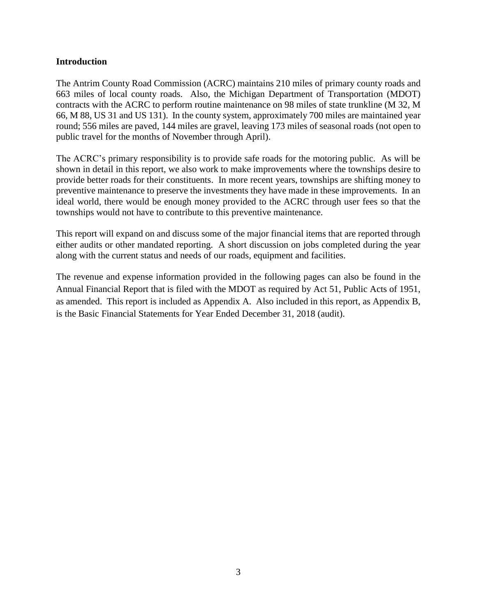#### **Introduction**

The Antrim County Road Commission (ACRC) maintains 210 miles of primary county roads and 663 miles of local county roads. Also, the Michigan Department of Transportation (MDOT) contracts with the ACRC to perform routine maintenance on 98 miles of state trunkline (M 32, M 66, M 88, US 31 and US 131). In the county system, approximately 700 miles are maintained year round; 556 miles are paved, 144 miles are gravel, leaving 173 miles of seasonal roads (not open to public travel for the months of November through April).

The ACRC's primary responsibility is to provide safe roads for the motoring public. As will be shown in detail in this report, we also work to make improvements where the townships desire to provide better roads for their constituents. In more recent years, townships are shifting money to preventive maintenance to preserve the investments they have made in these improvements. In an ideal world, there would be enough money provided to the ACRC through user fees so that the townships would not have to contribute to this preventive maintenance.

This report will expand on and discuss some of the major financial items that are reported through either audits or other mandated reporting. A short discussion on jobs completed during the year along with the current status and needs of our roads, equipment and facilities.

The revenue and expense information provided in the following pages can also be found in the Annual Financial Report that is filed with the MDOT as required by Act 51, Public Acts of 1951, as amended. This report is included as Appendix A. Also included in this report, as Appendix B, is the Basic Financial Statements for Year Ended December 31, 2018 (audit).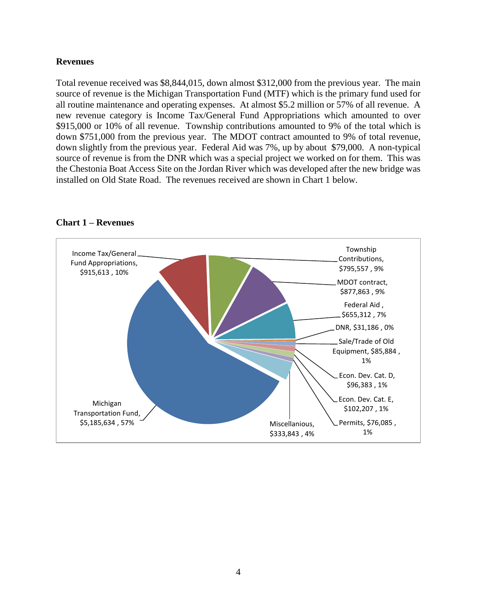#### **Revenues**

Total revenue received was \$8,844,015, down almost \$312,000 from the previous year. The main source of revenue is the Michigan Transportation Fund (MTF) which is the primary fund used for all routine maintenance and operating expenses. At almost \$5.2 million or 57% of all revenue. A new revenue category is Income Tax/General Fund Appropriations which amounted to over \$915,000 or 10% of all revenue. Township contributions amounted to 9% of the total which is down \$751,000 from the previous year. The MDOT contract amounted to 9% of total revenue, down slightly from the previous year. Federal Aid was 7%, up by about \$79,000. A non-typical source of revenue is from the DNR which was a special project we worked on for them. This was the Chestonia Boat Access Site on the Jordan River which was developed after the new bridge was installed on Old State Road. The revenues received are shown in Chart 1 below.



#### **Chart 1 – Revenues**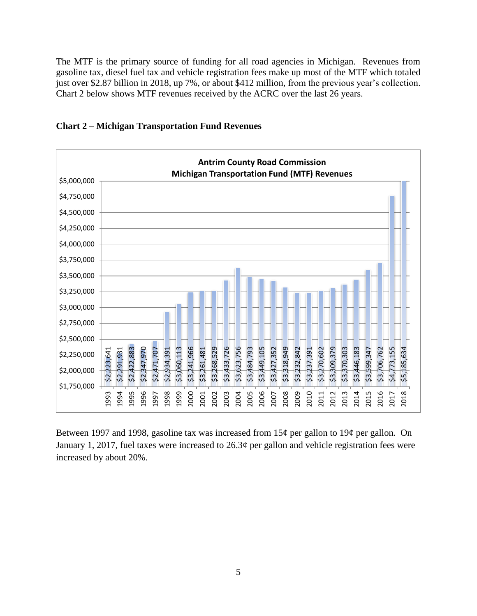The MTF is the primary source of funding for all road agencies in Michigan. Revenues from gasoline tax, diesel fuel tax and vehicle registration fees make up most of the MTF which totaled just over \$2.87 billion in 2018, up 7%, or about \$412 million, from the previous year's collection. Chart 2 below shows MTF revenues received by the ACRC over the last 26 years.





Between 1997 and 1998, gasoline tax was increased from 15¢ per gallon to 19¢ per gallon. On January 1, 2017, fuel taxes were increased to  $26.3\phi$  per gallon and vehicle registration fees were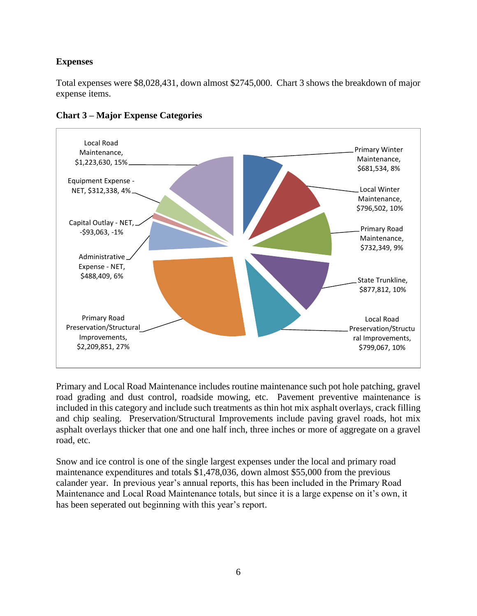#### **Expenses**

Total expenses were \$8,028,431, down almost \$2745,000. Chart 3 shows the breakdown of major expense items.



#### **Chart 3 – Major Expense Categories**

Primary and Local Road Maintenance includes routine maintenance such pot hole patching, gravel road grading and dust control, roadside mowing, etc. Pavement preventive maintenance is included in this category and include such treatments as thin hot mix asphalt overlays, crack filling and chip sealing. Preservation/Structural Improvements include paving gravel roads, hot mix asphalt overlays thicker that one and one half inch, three inches or more of aggregate on a gravel road, etc.

Snow and ice control is one of the single largest expenses under the local and primary road maintenance expenditures and totals \$1,478,036, down almost \$55,000 from the previous calander year. In previous year's annual reports, this has been included in the Primary Road Maintenance and Local Road Maintenance totals, but since it is a large expense on it's own, it has been seperated out beginning with this year's report.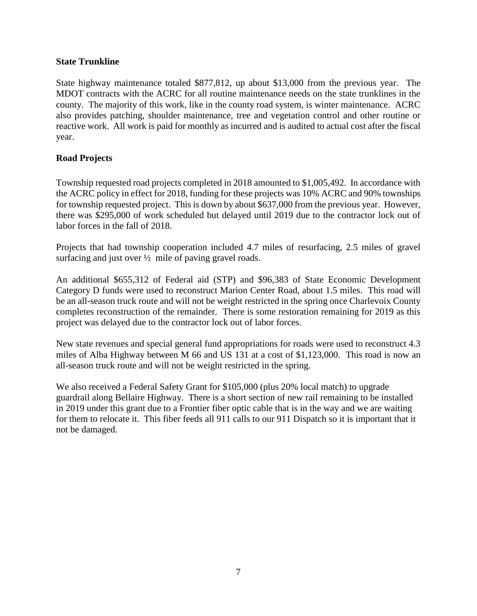#### **State Trunkline**

State highway maintenance totaled \$877,812, up about \$13,000 from the previous year. The MDOT contracts with the ACRC for all routine maintenance needs on the state trunklines in the county. The majority of this work, like in the county road system, is winter maintenance. ACRC also provides patching, shoulder maintenance, tree and vegetation control and other routine or reactive work. All work is paid for monthly as incurred and is audited to actual cost after the fiscal year.

#### **Road Projects**

Township requested road projects completed in 2018 amounted to \$1,005,492. In accordance with the ACRC policy in effect for 2018, funding for these projects was 10% ACRC and 90% townships for township requested project. This is down by about \$637,000 from the previous year. However, there was \$295,000 of work scheduled but delayed until 2019 due to the contractor lock out of labor forces in the fall of 2018.

Projects that had township cooperation included 4.7 miles of resurfacing, 2.5 miles of gravel surfacing and just over  $\frac{1}{2}$  mile of paving gravel roads.

An additional \$655,312 of Federal aid (STP) and \$96,383 of State Economic Development Category D funds were used to reconstruct Marion Center Road, about 1.5 miles. This road will be an all-season truck route and will not be weight restricted in the spring once Charlevoix County completes reconstruction of the remainder. There is some restoration remaining for 2019 as this project was delayed due to the contractor lock out of labor forces.

New state revenues and special general fund appropriations for roads were used to reconstruct 4.3 miles of Alba Highway between M 66 and US 131 at a cost of \$1,123,000. This road is now an all-season truck route and will not be weight restricted in the spring.

We also received a Federal Safety Grant for \$105,000 (plus 20% local match) to upgrade guardrail along Bellaire Highway. There is a short section of new rail remaining to be installed in 2019 under this grant due to a Frontier fiber optic cable that is in the way and we are waiting for them to relocate it. This fiber feeds all 911 calls to our 911 Dispatch so it is important that it not be damaged.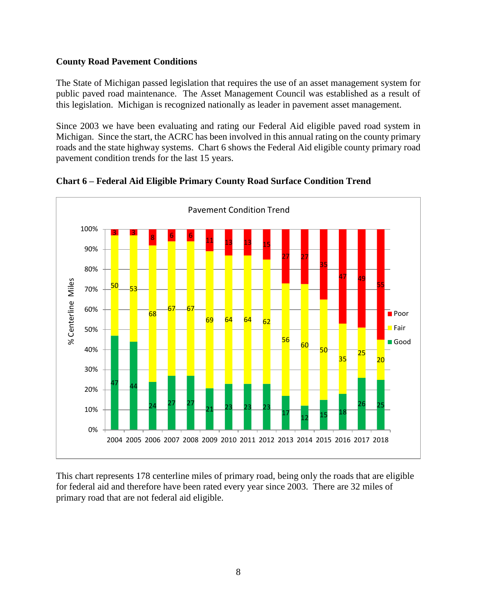#### **County Road Pavement Conditions**

The State of Michigan passed legislation that requires the use of an asset management system for public paved road maintenance. The Asset Management Council was established as a result of this legislation. Michigan is recognized nationally as leader in pavement asset management.

Since 2003 we have been evaluating and rating our Federal Aid eligible paved road system in Michigan. Since the start, the ACRC has been involved in this annual rating on the county primary roads and the state highway systems. Chart 6 shows the Federal Aid eligible county primary road pavement condition trends for the last 15 years.



**Chart 6 – Federal Aid Eligible Primary County Road Surface Condition Trend**

This chart represents 178 centerline miles of primary road, being only the roads that are eligible for federal aid and therefore have been rated every year since 2003. There are 32 miles of primary road that are not federal aid eligible.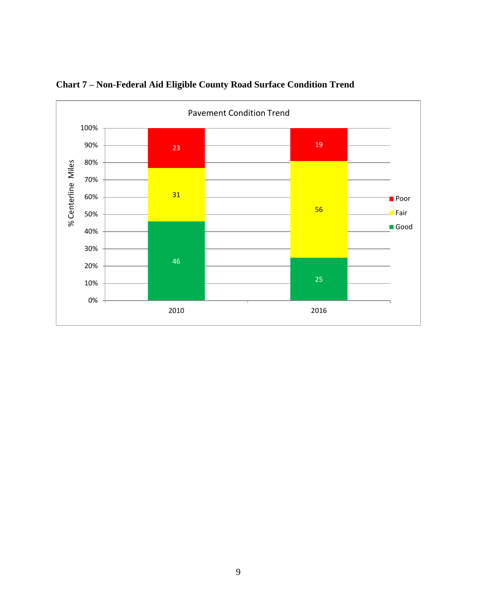

**Chart 7 – Non-Federal Aid Eligible County Road Surface Condition Trend**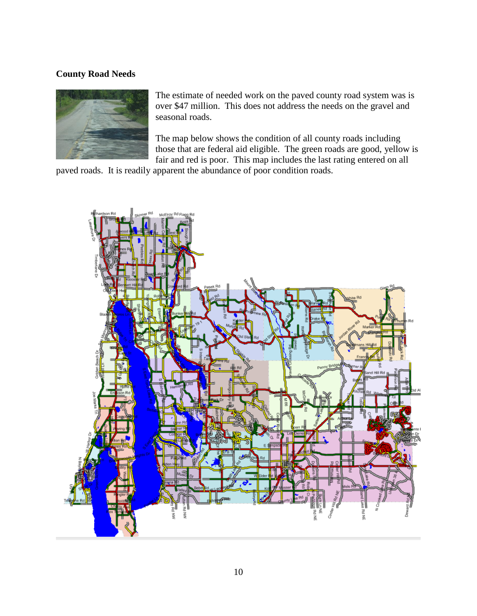#### **County Road Needs**



The estimate of needed work on the paved county road system was is over \$47 million. This does not address the needs on the gravel and seasonal roads.

The map below shows the condition of all county roads including those that are federal aid eligible. The green roads are good, yellow is fair and red is poor. This map includes the last rating entered on all

paved roads. It is readily apparent the abundance of poor condition roads.

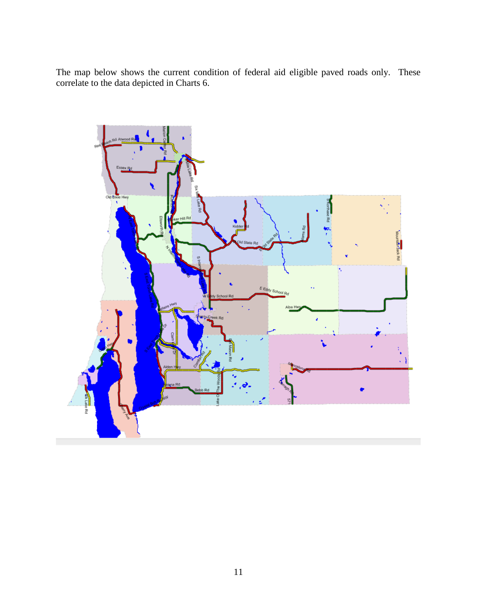The map below shows the current condition of federal aid eligible paved roads only. These correlate to the data depicted in Charts 6.

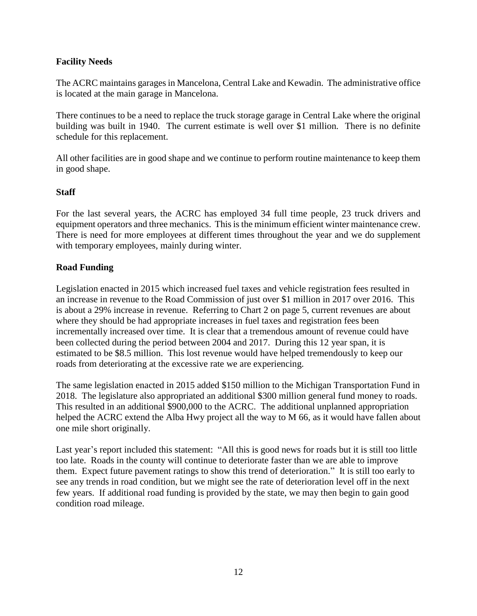#### **Facility Needs**

The ACRC maintains garages in Mancelona, Central Lake and Kewadin. The administrative office is located at the main garage in Mancelona.

There continues to be a need to replace the truck storage garage in Central Lake where the original building was built in 1940. The current estimate is well over \$1 million. There is no definite schedule for this replacement.

All other facilities are in good shape and we continue to perform routine maintenance to keep them in good shape.

#### **Staff**

For the last several years, the ACRC has employed 34 full time people, 23 truck drivers and equipment operators and three mechanics. This is the minimum efficient winter maintenance crew. There is need for more employees at different times throughout the year and we do supplement with temporary employees, mainly during winter.

#### **Road Funding**

Legislation enacted in 2015 which increased fuel taxes and vehicle registration fees resulted in an increase in revenue to the Road Commission of just over \$1 million in 2017 over 2016. This is about a 29% increase in revenue. Referring to Chart 2 on page 5, current revenues are about where they should be had appropriate increases in fuel taxes and registration fees been incrementally increased over time. It is clear that a tremendous amount of revenue could have been collected during the period between 2004 and 2017. During this 12 year span, it is estimated to be \$8.5 million. This lost revenue would have helped tremendously to keep our roads from deteriorating at the excessive rate we are experiencing.

The same legislation enacted in 2015 added \$150 million to the Michigan Transportation Fund in 2018. The legislature also appropriated an additional \$300 million general fund money to roads. This resulted in an additional \$900,000 to the ACRC. The additional unplanned appropriation helped the ACRC extend the Alba Hwy project all the way to M 66, as it would have fallen about one mile short originally.

Last year's report included this statement: "All this is good news for roads but it is still too little too late. Roads in the county will continue to deteriorate faster than we are able to improve them. Expect future pavement ratings to show this trend of deterioration." It is still too early to see any trends in road condition, but we might see the rate of deterioration level off in the next few years. If additional road funding is provided by the state, we may then begin to gain good condition road mileage.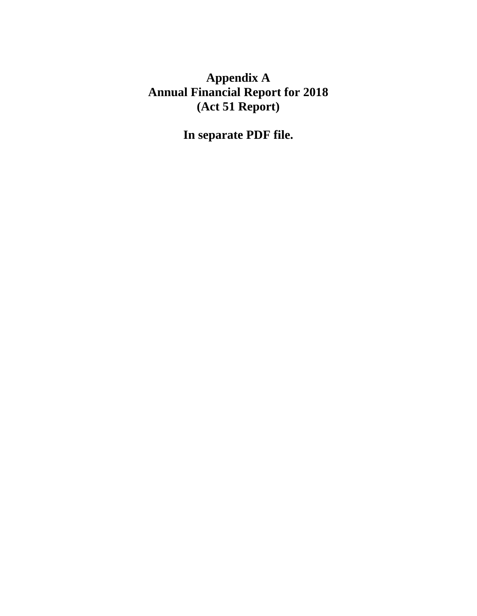## **Appendix A Annual Financial Report for 2018 (Act 51 Report)**

**In separate PDF file.**